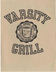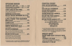## OPENING ROUND FALMOUTH'S BEST CHILI... $_{\text{CUP}}$  3.50 ... $_{\text{BOWL}}$  4.50 CHILLED WHITE GAZPACHOcupI.25 .. BOWL 2.50 SPiCed with fresh Cilantro STONE'S JAMAICAN JERK WINGS. featuring afrightfully bot mixture of fresh herbs and spices from an old Kingston family recipe BARBECUED CHICKEN WINGS. GRILLED TERIYAKI MUSHROOMS ON A STICK with Parmesan Pepper dip........................ 'E FROM THE GARDEN HOUSE SALAD ........................ \_\_\_ ..................... 2.75 the freshest from Chelsea Market HUMMUS PLATE ............................................ 3.95 hummus with sprouts,carrots,tomatoes, Bermuda onions,&pita. bread COUNTRY YOGURT FRUIT SALAD ................ 5.50 a bed of greens covered with yogurt, fruit, & nuts GRILLED GARDENBURGER Go out in the country, pick a nice shady spot ... and eat it! No, but seriously -a tasty patty of mushrooms,onions, nuts, grains &cheeses,wlth cheddar or American add 5O¢ GRILLED CHICKEN SALAD ............................. 615 a rather large bowl of greens topped with slices of: Jamaican jerk, sweet barbecue,splcy Thai peanut,Hoodoo cajun, or plain char-grilled chicken

breast, with your choice of dressing

DRESSINGS: LIGHT RANCH, BLUE CHEESE, PARMESAN PEPPER,&HOUSE LEMON VINAIGRETTE WITH EGG

<sup>~</sup>lli: lNl 'if'lli:lffi ~1Dl1!JJ lffi'if' CHAR- GRILLED HAM 6oz. of extra lean & mean beef CHAR-GRILLED CHEE ditto with cheddar or An  $SIRLOIN$   $STEAK$   $SAND$  char-grilled,thin  $\mathcal C$  tender SIRLOIN CHEESESTEA with cheddar or America LED TUNA STEA as is, or with either tartar jalapeño mayonnaise GRILLED CHICKEN SA TAKE A CHAR-GRI **BREAS** OUR FRIGHTFULLY H **SWEET BA** SPICY THAI HOODOO CAJUN SPICE OR NOT

ALL OF THE ABOVE SER WHEAT FRENCH ROU COLESLAW, HAND-COOK PICKLE, & A LETTUCE, T GA

 $\mathbb{S}$  $\mathbb{P}$ 

| RT                                                                                                                                                       |  |
|----------------------------------------------------------------------------------------------------------------------------------------------------------|--|
| BURGER 4.95<br>ground choice                                                                                                                             |  |
| SEBURGER 5.50                                                                                                                                            |  |
| erican<br><u>Nerican</u><br>WICH 4.95                                                                                                                    |  |
| TE<br>K SANDWICH 5.50                                                                                                                                    |  |
| C<br>SANDWICH  5.95<br>sauce or                                                                                                                          |  |
| NDWICH CITY<br>LLED 50Z.SKINLESS<br>T & ADD:<br>T JAMAICAN JERK SAUCE<br><b>RBECUE SAUCE</b><br>PEANUT SAUCE<br><b>CAJUN SPICE</b><br><b>HING AT ALL</b> |  |
| <b>VED ON A WHITE OR WHOLE</b><br><b>ND, IN A BASKET WITH</b><br>ED POTATO CHIPS, KOSHER<br>OMATO, & BERMUDA ONION<br><b>RNISH</b>                       |  |

## "SUDDEN DEATH" CHOCOLATE TOFFEE

| direct from Cambridge, "THE BEST ICE |  |
|--------------------------------------|--|
| CREAM IN THE WORLD"-People Magazine  |  |
| FRESH FRUIT OF THE DAY               |  |